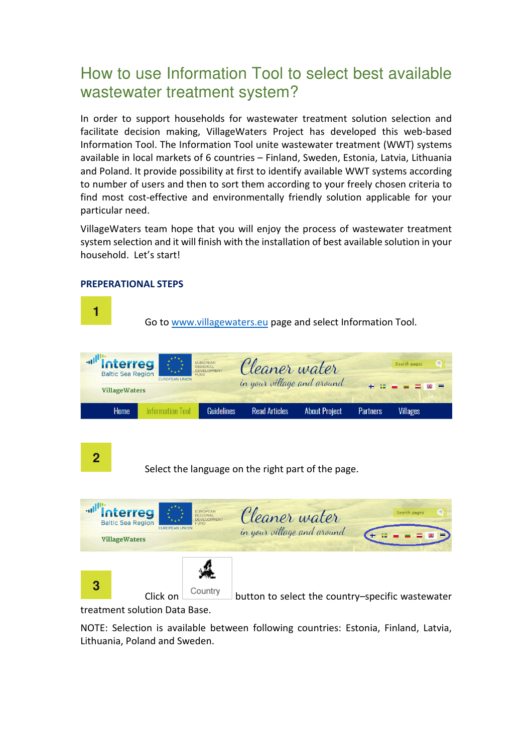## How to use Information Tool to select best available wastewater treatment system?

In order to support households for wastewater treatment solution selection and facilitate decision making, VillageWaters Project has developed this web-based Information Tool. The Information Tool unite wastewater treatment (WWT) systems available in local markets of 6 countries – Finland, Sweden, Estonia, Latvia, Lithuania and Poland. It provide possibility at first to identify available WWT systems according to number of users and then to sort them according to your freely chosen criteria to find most cost-effective and environmentally friendly solution applicable for your particular need.

VillageWaters team hope that you will enjoy the process of wastewater treatment system selection and it will finish with the installation of best available solution in your household. Let's start!

#### **PREPERATIONAL STEPS**

Go to www.villagewaters.eu page and select Information Tool.

| <b>and interreg</b><br><b>Baltic Sea Region</b> | <b>EUROPEAN UNION</b> | EUROPEAN<br>REGIONAL<br>DEVELOPMENT<br><b>FUND</b> | Cleaner water<br>in your village and around | Search pages         |                 |             |  |
|-------------------------------------------------|-----------------------|----------------------------------------------------|---------------------------------------------|----------------------|-----------------|-------------|--|
| <b>VillageWaters</b>                            |                       |                                                    |                                             |                      |                 | $+$ $    -$ |  |
| Home                                            | Information Tool      | <b>Guidelines</b>                                  | <b>Read Articles</b>                        | <b>About Project</b> | <b>Partners</b> | Villages    |  |

```
2
```
**1**

Select the language on the right part of the page.



treatment solution Data Base.

NOTE: Selection is available between following countries: Estonia, Finland, Latvia, Lithuania, Poland and Sweden.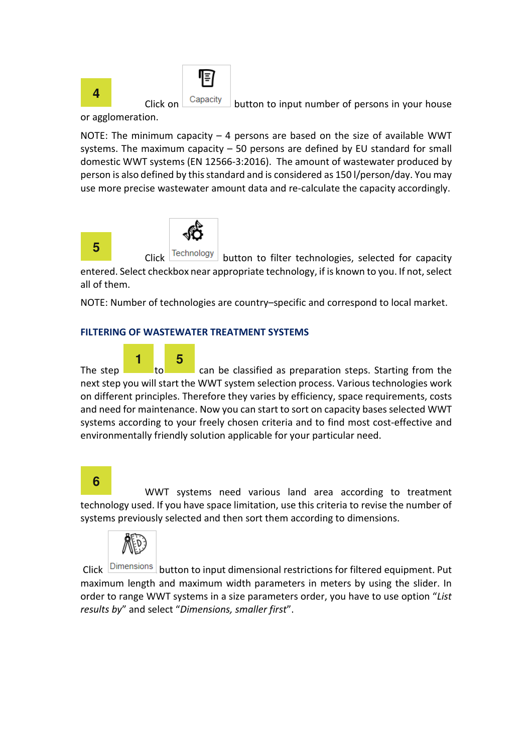

or agglomeration.



NOTE: The minimum capacity – 4 persons are based on the size of available WWT systems. The maximum capacity – 50 persons are defined by EU standard for small domestic WWT systems (EN 12566-3:2016). The amount of wastewater produced by person is also defined by this standard and is considered as 150 l/person/day. You may use more precise wastewater amount data and re-calculate the capacity accordingly.



Technology button to filter technologies, selected for capacity entered. Select checkbox near appropriate technology, if is known to you. If not, select all of them.

NOTE: Number of technologies are country–specific and correspond to local market.

#### **FILTERING OF WASTEWATER TREATMENT SYSTEMS**



The step **1** to can be classified as preparation steps. Starting from the next step you will start the WWT system selection process. Various technologies work on different principles. Therefore they varies by efficiency, space requirements, costs and need for maintenance. Now you can start to sort on capacity bases selected WWT systems according to your freely chosen criteria and to find most cost-effective and environmentally friendly solution applicable for your particular need.

### **6**

 WWT systems need various land area according to treatment technology used. If you have space limitation, use this criteria to revise the number of systems previously selected and then sort them according to dimensions.



Click **DIMENSIONS** button to input dimensional restrictions for filtered equipment. Put maximum length and maximum width parameters in meters by using the slider. In order to range WWT systems in a size parameters order, you have to use option "*List results by*" and select "*Dimensions, smaller first*".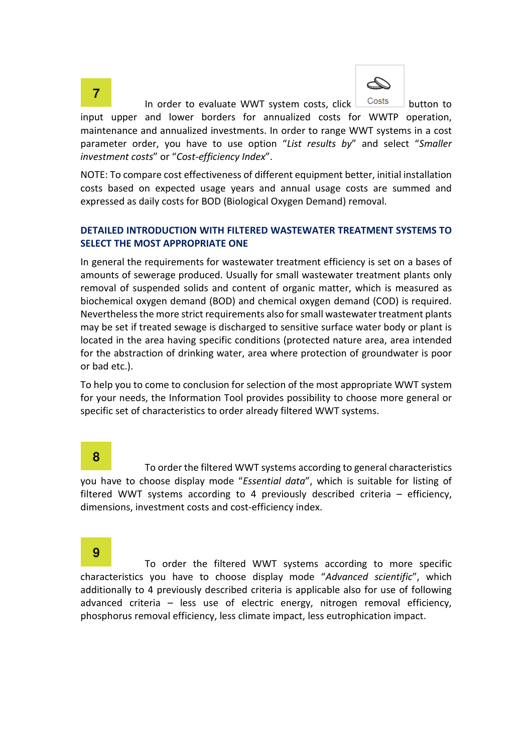

In order to evaluate WWT system costs, click  $\Box$  Costs button to input upper and lower borders for annualized costs for WWTP operation, maintenance and annualized investments. In order to range WWT systems in a cost parameter order, you have to use option "*List results by*" and select "*Smaller investment costs*" or "*Cost-efficiency Index*".

NOTE: To compare cost effectiveness of different equipment better, initial installation costs based on expected usage years and annual usage costs are summed and expressed as daily costs for BOD (Biological Oxygen Demand) removal.

#### **DETAILED INTRODUCTION WITH FILTERED WASTEWATER TREATMENT SYSTEMS TO SELECT THE MOST APPROPRIATE ONE**

In general the requirements for wastewater treatment efficiency is set on a bases of amounts of sewerage produced. Usually for small wastewater treatment plants only removal of suspended solids and content of organic matter, which is measured as biochemical oxygen demand (BOD) and chemical oxygen demand (COD) is required. Nevertheless the more strict requirements also for small wastewater treatment plants may be set if treated sewage is discharged to sensitive surface water body or plant is located in the area having specific conditions (protected nature area, area intended for the abstraction of drinking water, area where protection of groundwater is poor or bad etc.).

To help you to come to conclusion for selection of the most appropriate WWT system for your needs, the Information Tool provides possibility to choose more general or specific set of characteristics to order already filtered WWT systems.

#### **8**

 To order the filtered WWT systems according to general characteristics you have to choose display mode "*Essential data*", which is suitable for listing of filtered WWT systems according to 4 previously described criteria – efficiency, dimensions, investment costs and cost-efficiency index.

### **9**

 To order the filtered WWT systems according to more specific characteristics you have to choose display mode "*Advanced scientific*", which additionally to 4 previously described criteria is applicable also for use of following advanced criteria – less use of electric energy, nitrogen removal efficiency, phosphorus removal efficiency, less climate impact, less eutrophication impact.

# **7**